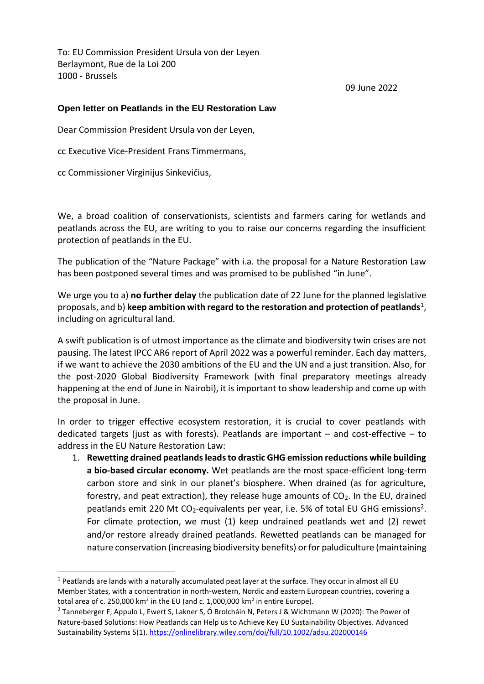To: EU Commission President Ursula von der Leyen Berlaymont, Rue de la Loi 200 1000 - Brussels

09 June 2022

### **Open letter on Peatlands in the EU Restoration Law**

Dear Commission President Ursula von der Leyen,

cc Executive Vice-President Frans Timmermans,

cc Commissioner Virginijus Sinkevičius,

 $\overline{\phantom{a}}$ 

We, a broad coalition of conservationists, scientists and farmers caring for wetlands and peatlands across the EU, are writing to you to raise our concerns regarding the insufficient protection of peatlands in the EU.

The publication of the "Nature Package" with i.a. the proposal for a Nature Restoration Law has been postponed several times and was promised to be published "in June".

We urge you to a) **no further delay** the publication date of 22 June for the planned legislative proposals, and b) **keep ambition with regard to the restoration and protection of peatlands<sup>1</sup>,** including on agricultural land.

A swift publication is of utmost importance as the climate and biodiversity twin crises are not pausing. The latest IPCC AR6 report of April 2022 was a powerful reminder. Each day matters, if we want to achieve the 2030 ambitions of the EU and the UN and a just transition. Also, for the post-2020 Global Biodiversity Framework (with final preparatory meetings already happening at the end of June in Nairobi), it is important to show leadership and come up with the proposal in June.

In order to trigger effective ecosystem restoration, it is crucial to cover peatlands with dedicated targets (just as with forests). Peatlands are important – and cost-effective – to address in the EU Nature Restoration Law:

1. **Rewetting drained peatlands leads to drastic GHG emission reductions while building a bio-based circular economy.** Wet peatlands are the most space-efficient long-term carbon store and sink in our planet's biosphere. When drained (as for agriculture, forestry, and peat extraction), they release huge amounts of  $CO<sub>2</sub>$ . In the EU, drained peatlands emit 220 Mt  $CO_2$ -equivalents per year, i.e. 5% of total EU GHG emissions<sup>2</sup>. For climate protection, we must (1) keep undrained peatlands wet and (2) rewet and/or restore already drained peatlands. Rewetted peatlands can be managed for nature conservation (increasing biodiversity benefits) or for paludiculture (maintaining

 $<sup>1</sup>$  Peatlands are lands with a naturally accumulated peat layer at the surface. They occur in almost all EU</sup> Member States, with a concentration in north-western, Nordic and eastern European countries, covering a total area of c. 250,000 km<sup>2</sup> in the EU (and c. 1,000,000 km<sup>2</sup> in entire Europe).

<sup>2</sup> Tanneberger F, Appulo L, Ewert S, Lakner S, Ó Brolcháin N, Peters J & Wichtmann W (2020): The Power of Nature-based Solutions: How Peatlands can Help us to Achieve Key EU Sustainability Objectives. Advanced Sustainability Systems 5(1).<https://onlinelibrary.wiley.com/doi/full/10.1002/adsu.202000146>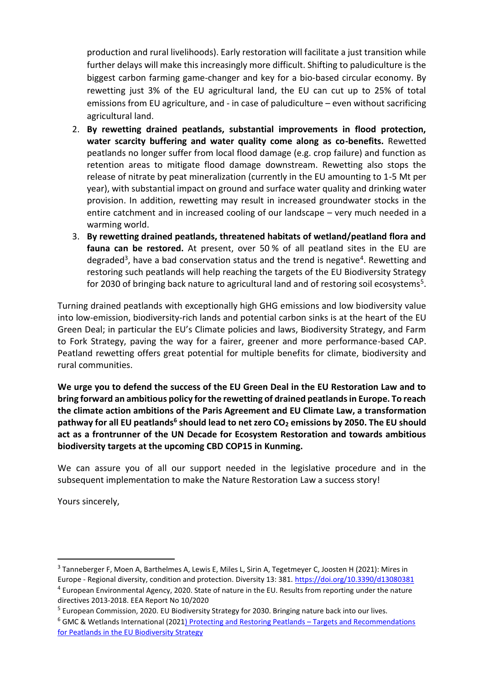production and rural livelihoods). Early restoration will facilitate a just transition while further delays will make this increasingly more difficult. Shifting to paludiculture is the biggest carbon farming game-changer and key for a bio-based circular economy. By rewetting just 3% of the EU agricultural land, the EU can cut up to 25% of total emissions from EU agriculture, and - in case of paludiculture – even without sacrificing agricultural land.

- 2. **By rewetting drained peatlands, substantial improvements in flood protection, water scarcity buffering and water quality come along as co-benefits.** Rewetted peatlands no longer suffer from local flood damage (e.g. crop failure) and function as retention areas to mitigate flood damage downstream. Rewetting also stops the release of nitrate by peat mineralization (currently in the EU amounting to 1-5 Mt per year), with substantial impact on ground and surface water quality and drinking water provision. In addition, rewetting may result in increased groundwater stocks in the entire catchment and in increased cooling of our landscape – very much needed in a warming world.
- 3. **By rewetting drained peatlands, threatened habitats of wetland/peatland flora and fauna can be restored.** At present, over 50 % of all peatland sites in the EU are degraded<sup>3</sup>, have a bad conservation status and the trend is negative<sup>4</sup>. Rewetting and restoring such peatlands will help reaching the targets of the EU Biodiversity Strategy for 2030 of bringing back nature to agricultural land and of restoring soil ecosystems<sup>5</sup>.

Turning drained peatlands with exceptionally high GHG emissions and low biodiversity value into low-emission, biodiversity-rich lands and potential carbon sinks is at the heart of the EU Green Deal; in particular the EU's Climate policies and laws, Biodiversity Strategy, and Farm to Fork Strategy, paving the way for a fairer, greener and more performance-based CAP. Peatland rewetting offers great potential for multiple benefits for climate, biodiversity and rural communities.

**We urge you to defend the success of the EU Green Deal in the EU Restoration Law and to bring forward an ambitious policy for the rewetting of drained peatlands in Europe. To reach the climate action ambitions of the Paris Agreement and EU Climate Law, a transformation pathway for all EU peatlands<sup>6</sup> should lead to net zero CO<sup>2</sup> emissions by 2050. The EU should act as a frontrunner of the UN Decade for Ecosystem Restoration and towards ambitious biodiversity targets at the upcoming CBD COP15 in Kunming.**

We can assure you of all our support needed in the legislative procedure and in the subsequent implementation to make the Nature Restoration Law a success story!

Yours sincerely,

 $\overline{\phantom{a}}$ 

<sup>&</sup>lt;sup>3</sup> Tanneberger F, Moen A, Barthelmes A, Lewis E, Miles L, Sirin A, Tegetmeyer C, Joosten H (2021): Mires in Europe - Regional diversity, condition and protection. Diversity 13: 381.<https://doi.org/10.3390/d13080381>

<sup>&</sup>lt;sup>4</sup> European Environmental Agency, 2020. State of nature in the EU. Results from reporting under the nature directives 2013-2018. EEA Report No 10/2020

<sup>&</sup>lt;sup>5</sup> European Commission, 2020. EU Biodiversity Strategy for 2030. Bringing nature back into our lives.

<sup>&</sup>lt;sup>6</sup> GMC & Wetlands International (202[1\) Protecting and Restoring Peatlands](https://www.greifswaldmoor.de/files/dokumente/Infopapiere_Briefings/2021_EU_Restoration_Targ_Peatlands_Policy%20brief.pdf) – Targets and Recommendations [for Peatlands in the EU Biodiversity Strategy](https://www.greifswaldmoor.de/files/dokumente/Infopapiere_Briefings/2021_EU_Restoration_Targ_Peatlands_Policy%20brief.pdf)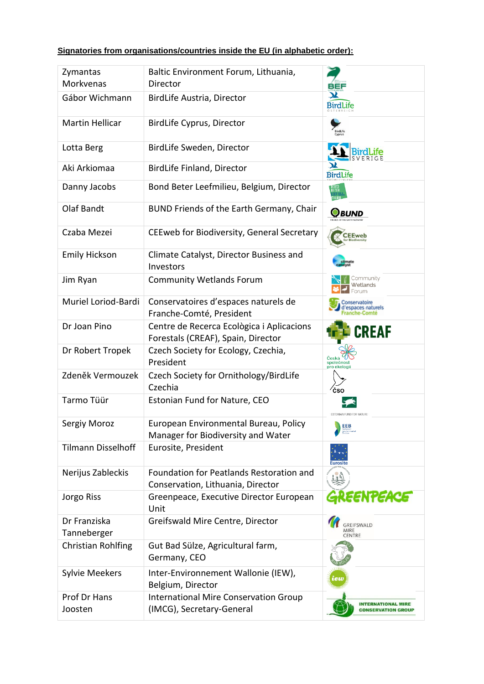## **Signatories from organisations/countries inside the EU (in alphabetic order):**

| Zymantas<br>Morkvenas       | Baltic Environment Forum, Lithuania,<br>Director                                | BEF                                                    |
|-----------------------------|---------------------------------------------------------------------------------|--------------------------------------------------------|
| Gábor Wichmann              | BirdLife Austria, Director                                                      | Ж<br><b>BirdLife</b>                                   |
| <b>Martin Hellicar</b>      | BirdLife Cyprus, Director                                                       |                                                        |
| Lotta Berg                  | BirdLife Sweden, Director                                                       |                                                        |
| Aki Arkiomaa                | BirdLife Finland, Director                                                      | <b>BirdLife</b>                                        |
| Danny Jacobs                | Bond Beter Leefmilieu, Belgium, Director                                        | BOUD<br>Belek                                          |
| Olaf Bandt                  | BUND Friends of the Earth Germany, Chair                                        | <b>PBUND</b>                                           |
| Czaba Mezei                 | CEEweb for Biodiversity, General Secretary                                      | <b>CEEweb</b>                                          |
| <b>Emily Hickson</b>        | Climate Catalyst, Director Business and<br>Investors                            |                                                        |
| Jim Ryan                    | <b>Community Wetlands Forum</b>                                                 | ommunity.<br>Wetlands                                  |
| Muriel Loriod-Bardi         | Conservatoires d'espaces naturels de<br>Franche-Comté, President                | onservatoire<br>paces naturels                         |
| Dr Joan Pino                | Centre de Recerca Ecològica i Aplicacions<br>Forestals (CREAF), Spain, Director | <b>CREAF</b>                                           |
| Dr Robert Tropek            | Czech Society for Ecology, Czechia,<br>President                                | Česká<br>společnost<br>pro ekologi                     |
| Zdeněk Vermouzek            | Czech Society for Ornithology/BirdLife<br>Czechia                               | čso                                                    |
| Tarmo Tüür                  | Estonian Fund for Nature, CEO                                                   |                                                        |
| Sergiy Moroz                | European Environmental Bureau, Policy<br>Manager for Biodiversity and Water     | EEB<br>European<br>Emeronmental<br>Bureau              |
| <b>Tilmann Disselhoff</b>   | Eurosite, President                                                             | Eurosit                                                |
| Nerijus Zableckis           | Foundation for Peatlands Restoration and<br>Conservation, Lithuania, Director   |                                                        |
| Jorgo Riss                  | Greenpeace, Executive Director European<br>Unit                                 | GREENPEACE                                             |
| Dr Franziska<br>Tanneberger | Greifswald Mire Centre, Director                                                | GREIFSWALD<br>MIRE<br>CENTRE                           |
| Christian Rohlfing          | Gut Bad Sülze, Agricultural farm,<br>Germany, CEO                               |                                                        |
| <b>Sylvie Meekers</b>       | Inter-Environnement Wallonie (IEW),<br>Belgium, Director                        | iew                                                    |
| Prof Dr Hans<br>Joosten     | <b>International Mire Conservation Group</b><br>(IMCG), Secretary-General       | <b>INTERNATIONAL MIRE</b><br><b>CONSERVATION GROUP</b> |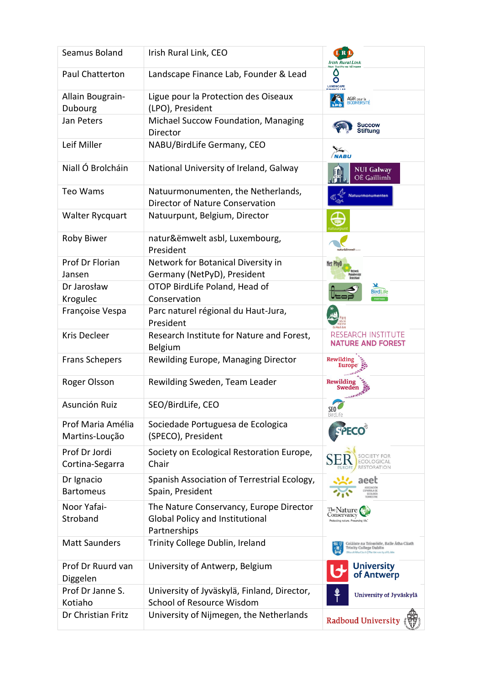| Seamus Boland                       | Irish Rural Link, CEO                                                                             | Irish Rural Link                                                                                             |
|-------------------------------------|---------------------------------------------------------------------------------------------------|--------------------------------------------------------------------------------------------------------------|
| <b>Paul Chatterton</b>              | Landscape Finance Lab, Founder & Lead                                                             | O<br>LANDSCAPE                                                                                               |
| Allain Bougrain-<br>Dubourg         | Ligue pour la Protection des Oiseaux<br>(LPO), President                                          | AGIR pour la<br>BIODIVERSITÉ                                                                                 |
| Jan Peters                          | Michael Succow Foundation, Managing<br>Director                                                   | Succow<br>Stiftung                                                                                           |
| Leif Miller                         | NABU/BirdLife Germany, CEO                                                                        |                                                                                                              |
| Niall Ó Brolcháin                   | National University of Ireland, Galway                                                            | <b>NUI Galway</b><br>OÉ Gaillimh                                                                             |
| Teo Wams                            | Natuurmonumenten, the Netherlands,<br>Director of Nature Conservation                             | Natuurmonumenter                                                                                             |
| Walter Rycquart                     | Natuurpunt, Belgium, Director                                                                     |                                                                                                              |
| <b>Roby Biwer</b>                   | natur&ëmwelt asbl, Luxembourg,<br>President                                                       |                                                                                                              |
| Prof Dr Florian                     | Network for Botanical Diversity in                                                                | Net Phy                                                                                                      |
| Jansen                              | Germany (NetPyD), President                                                                       |                                                                                                              |
| Dr Jarosław                         | OTOP BirdLife Poland, Head of                                                                     | ж<br><b>BirdLife</b>                                                                                         |
| Krogulec                            | Conservation                                                                                      |                                                                                                              |
| Françoise Vespa                     | Parc naturel régional du Haut-Jura,<br>President                                                  |                                                                                                              |
| Kris Decleer                        | Research Institute for Nature and Forest,<br>Belgium                                              | <b>RESEARCH INSTITUTE</b><br><b>NATURE AND FOREST</b>                                                        |
| <b>Frans Schepers</b>               | Rewilding Europe, Managing Director                                                               | Rewilding<br>Euro                                                                                            |
| Roger Olsson                        | Rewilding Sweden, Team Leader                                                                     | Rewildin                                                                                                     |
| Asunción Ruiz                       | SEO/BirdLife, CEO                                                                                 | <b>SEO</b><br>BirdLife                                                                                       |
| Prof Maria Amélia<br>Martins-Loução | Sociedade Portuguesa de Ecologica<br>(SPECO), President                                           |                                                                                                              |
| Prof Dr Jordi<br>Cortina-Segarra    | Society on Ecological Restoration Europe,<br>Chair                                                | ETY FOR<br>COLOGICAL<br><b>RESTORATION</b>                                                                   |
| Dr Ignacio<br><b>Bartomeus</b>      | Spanish Association of Terrestrial Ecology,<br>Spain, President                                   | aeet                                                                                                         |
| Noor Yafai-<br>Stroband             | The Nature Conservancy, Europe Director<br><b>Global Policy and Institutional</b><br>Partnerships | TheNature<br>Conservancy<br>Protecting nature. Preserving life.                                              |
| <b>Matt Saunders</b>                | Trinity College Dublin, Ireland                                                                   | Coláiste na Tríonóide, Baile Átha Cliath<br>Trinity College Dublin<br>Lidha Ciash.] The University of Bulder |
| Prof Dr Ruurd van<br>Diggelen       | University of Antwerp, Belgium                                                                    | <b>University</b><br>of Antwerp                                                                              |
| Prof Dr Janne S.<br>Kotiaho         | University of Jyväskylä, Finland, Director,<br><b>School of Resource Wisdom</b>                   | University of Jyväskylä                                                                                      |
| Dr Christian Fritz                  | University of Nijmegen, the Netherlands                                                           | Radboud University                                                                                           |